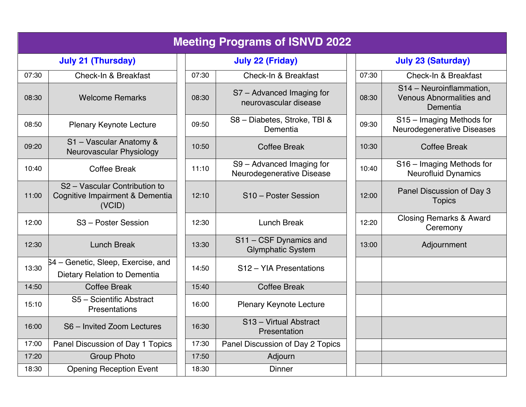| <b>Meeting Programs of ISNVD 2022</b> |                                                                            |       |                                                        |                           |       |                                                                         |
|---------------------------------------|----------------------------------------------------------------------------|-------|--------------------------------------------------------|---------------------------|-------|-------------------------------------------------------------------------|
|                                       | <b>July 21 (Thursday)</b><br><b>July 22 (Friday)</b>                       |       |                                                        | <b>July 23 (Saturday)</b> |       |                                                                         |
| 07:30                                 | <b>Check-In &amp; Breakfast</b>                                            | 07:30 | Check-In & Breakfast                                   |                           | 07:30 | Check-In & Breakfast                                                    |
| 08:30                                 | <b>Welcome Remarks</b>                                                     | 08:30 | S7 - Advanced Imaging for<br>neurovascular disease     |                           | 08:30 | S14 - Neuroinflammation,<br><b>Venous Abnormalities and</b><br>Dementia |
| 08:50                                 | <b>Plenary Keynote Lecture</b>                                             | 09:50 | S8 - Diabetes, Stroke, TBI &<br>Dementia               |                           | 09:30 | S15 - Imaging Methods for<br>Neurodegenerative Diseases                 |
| 09:20                                 | S1 - Vascular Anatomy &<br>Neurovascular Physiology                        | 10:50 | <b>Coffee Break</b>                                    |                           | 10:30 | <b>Coffee Break</b>                                                     |
| 10:40                                 | <b>Coffee Break</b>                                                        | 11:10 | S9 - Advanced Imaging for<br>Neurodegenerative Disease |                           | 10:40 | S16 - Imaging Methods for<br><b>Neurofluid Dynamics</b>                 |
| 11:00                                 | S2 - Vascular Contribution to<br>Cognitive Impairment & Dementia<br>(VCID) | 12:10 | S10 - Poster Session                                   |                           | 12:00 | Panel Discussion of Day 3<br><b>Topics</b>                              |
| 12:00                                 | S3 - Poster Session                                                        | 12:30 | <b>Lunch Break</b>                                     |                           | 12:20 | <b>Closing Remarks &amp; Award</b><br>Ceremony                          |
| 12:30                                 | <b>Lunch Break</b>                                                         | 13:30 | S11 - CSF Dynamics and<br><b>Glymphatic System</b>     |                           | 13:00 | Adjournment                                                             |
| 13:30                                 | 54 – Genetic, Sleep, Exercise, and<br>Dietary Relation to Dementia         | 14:50 | S <sub>12</sub> – YIA Presentations                    |                           |       |                                                                         |
| 14:50                                 | <b>Coffee Break</b>                                                        | 15:40 | <b>Coffee Break</b>                                    |                           |       |                                                                         |
| 15:10                                 | S5 - Scientific Abstract<br>Presentations                                  | 16:00 | Plenary Keynote Lecture                                |                           |       |                                                                         |
| 16:00                                 | S6 - Invited Zoom Lectures                                                 | 16:30 | S <sub>13</sub> - Virtual Abstract<br>Presentation     |                           |       |                                                                         |
| 17:00                                 | Panel Discussion of Day 1 Topics                                           | 17:30 | Panel Discussion of Day 2 Topics                       |                           |       |                                                                         |
| 17:20                                 | <b>Group Photo</b>                                                         | 17:50 | Adjourn                                                |                           |       |                                                                         |
| 18:30                                 | <b>Opening Reception Event</b>                                             | 18:30 | <b>Dinner</b>                                          |                           |       |                                                                         |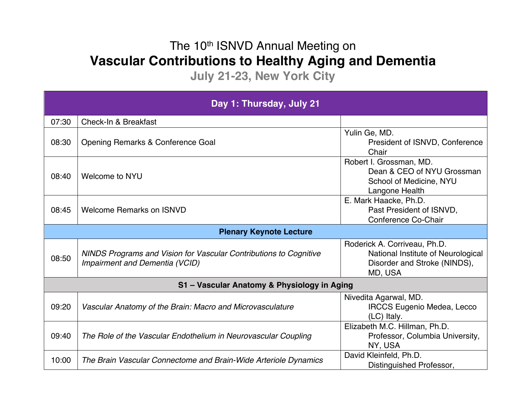## The 10<sup>th</sup> ISNVD Annual Meeting on **Vascular Contributions to Healthy Aging and Dementia**

**July 21-23, New York City**

| Day 1: Thursday, July 21                    |                                                                                                     |                                                                                                               |  |  |
|---------------------------------------------|-----------------------------------------------------------------------------------------------------|---------------------------------------------------------------------------------------------------------------|--|--|
| 07:30                                       | Check-In & Breakfast                                                                                |                                                                                                               |  |  |
| 08:30                                       | Opening Remarks & Conference Goal                                                                   | Yulin Ge, MD.<br>President of ISNVD, Conference<br>Chair                                                      |  |  |
| 08:40                                       | Welcome to NYU                                                                                      | Robert I. Grossman, MD.<br>Dean & CEO of NYU Grossman<br>School of Medicine, NYU<br>Langone Health            |  |  |
| 08:45                                       | Welcome Remarks on ISNVD                                                                            | E. Mark Haacke, Ph.D.<br>Past President of ISNVD,<br>Conference Co-Chair                                      |  |  |
|                                             | <b>Plenary Keynote Lecture</b>                                                                      |                                                                                                               |  |  |
| 08:50                                       | NINDS Programs and Vision for Vascular Contributions to Cognitive<br>Impairment and Dementia (VCID) | Roderick A. Corriveau, Ph.D.<br>National Institute of Neurological<br>Disorder and Stroke (NINDS),<br>MD, USA |  |  |
| S1 - Vascular Anatomy & Physiology in Aging |                                                                                                     |                                                                                                               |  |  |
| 09:20                                       | Vascular Anatomy of the Brain: Macro and Microvasculature                                           | Nivedita Agarwal, MD.<br><b>IRCCS Eugenio Medea, Lecco</b><br>(LC) Italy.                                     |  |  |
| 09:40                                       | The Role of the Vascular Endothelium in Neurovascular Coupling                                      | Elizabeth M.C. Hillman, Ph.D.<br>Professor, Columbia University,<br>NY, USA                                   |  |  |
| 10:00                                       | The Brain Vascular Connectome and Brain-Wide Arteriole Dynamics                                     | David Kleinfeld, Ph.D.<br>Distinguished Professor,                                                            |  |  |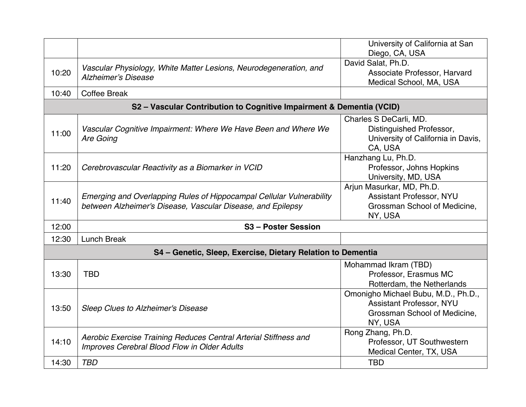|                                                             |                                                                                                                                     | University of California at San<br>Diego, CA, USA                                                          |  |  |
|-------------------------------------------------------------|-------------------------------------------------------------------------------------------------------------------------------------|------------------------------------------------------------------------------------------------------------|--|--|
| 10:20                                                       | Vascular Physiology, White Matter Lesions, Neurodegeneration, and<br><b>Alzheimer's Disease</b>                                     | David Salat, Ph.D.<br>Associate Professor, Harvard<br>Medical School, MA, USA                              |  |  |
| 10:40                                                       | <b>Coffee Break</b>                                                                                                                 |                                                                                                            |  |  |
|                                                             | S2 - Vascular Contribution to Cognitive Impairment & Dementia (VCID)                                                                |                                                                                                            |  |  |
| 11:00                                                       | Vascular Cognitive Impairment: Where We Have Been and Where We<br>Are Going                                                         | Charles S DeCarli, MD.<br>Distinguished Professor,<br>University of California in Davis,<br>CA, USA        |  |  |
| 11:20                                                       | Cerebrovascular Reactivity as a Biomarker in VCID                                                                                   | Hanzhang Lu, Ph.D.<br>Professor, Johns Hopkins<br>University, MD, USA                                      |  |  |
| 11:40                                                       | Emerging and Overlapping Rules of Hippocampal Cellular Vulnerability<br>between Alzheimer's Disease, Vascular Disease, and Epilepsy | Arjun Masurkar, MD, Ph.D.<br>Assistant Professor, NYU<br>Grossman School of Medicine,<br>NY, USA           |  |  |
| 12:00                                                       | S <sub>3</sub> - Poster Session                                                                                                     |                                                                                                            |  |  |
| 12:30                                                       | <b>Lunch Break</b>                                                                                                                  |                                                                                                            |  |  |
| S4 - Genetic, Sleep, Exercise, Dietary Relation to Dementia |                                                                                                                                     |                                                                                                            |  |  |
| 13:30                                                       | <b>TBD</b>                                                                                                                          | Mohammad Ikram (TBD)<br>Professor, Erasmus MC<br>Rotterdam, the Netherlands                                |  |  |
| 13:50                                                       | <b>Sleep Clues to Alzheimer's Disease</b>                                                                                           | Omonigho Michael Bubu, M.D., Ph.D.,<br>Assistant Professor, NYU<br>Grossman School of Medicine,<br>NY, USA |  |  |
| 14:10                                                       | Aerobic Exercise Training Reduces Central Arterial Stiffness and<br>Improves Cerebral Blood Flow in Older Adults                    | Rong Zhang, Ph.D.<br>Professor, UT Southwestern<br>Medical Center, TX, USA                                 |  |  |
| 14:30                                                       | <b>TBD</b>                                                                                                                          | <b>TBD</b>                                                                                                 |  |  |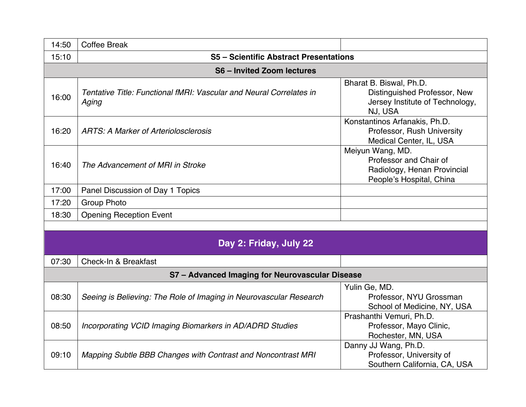| 14:50                                           | <b>Coffee Break</b>                                                          |                                                                                                       |  |  |
|-------------------------------------------------|------------------------------------------------------------------------------|-------------------------------------------------------------------------------------------------------|--|--|
| 15:10                                           | <b>S5 - Scientific Abstract Presentations</b>                                |                                                                                                       |  |  |
| <b>S6-Invited Zoom lectures</b>                 |                                                                              |                                                                                                       |  |  |
| 16:00                                           | Tentative Title: Functional fMRI: Vascular and Neural Correlates in<br>Aging | Bharat B. Biswal, Ph.D.<br>Distinguished Professor, New<br>Jersey Institute of Technology,<br>NJ, USA |  |  |
| 16:20                                           | <b>ARTS: A Marker of Arteriolosclerosis</b>                                  | Konstantinos Arfanakis, Ph.D.<br>Professor, Rush University<br>Medical Center, IL, USA                |  |  |
| 16:40                                           | The Advancement of MRI in Stroke                                             | Meiyun Wang, MD.<br>Professor and Chair of<br>Radiology, Henan Provincial<br>People's Hospital, China |  |  |
| 17:00                                           | Panel Discussion of Day 1 Topics                                             |                                                                                                       |  |  |
| 17:20                                           | <b>Group Photo</b>                                                           |                                                                                                       |  |  |
| 18:30                                           | <b>Opening Reception Event</b>                                               |                                                                                                       |  |  |
|                                                 |                                                                              |                                                                                                       |  |  |
|                                                 | Day 2: Friday, July 22                                                       |                                                                                                       |  |  |
| 07:30                                           | Check-In & Breakfast                                                         |                                                                                                       |  |  |
| S7 - Advanced Imaging for Neurovascular Disease |                                                                              |                                                                                                       |  |  |
| 08:30                                           | Seeing is Believing: The Role of Imaging in Neurovascular Research           | Yulin Ge, MD.<br>Professor, NYU Grossman<br>School of Medicine, NY, USA                               |  |  |
| 08:50                                           | Incorporating VCID Imaging Biomarkers in AD/ADRD Studies                     | Prashanthi Vemuri, Ph.D.<br>Professor, Mayo Clinic,<br>Rochester, MN, USA                             |  |  |
| 09:10                                           | Mapping Subtle BBB Changes with Contrast and Noncontrast MRI                 | Danny JJ Wang, Ph.D.<br>Professor, University of<br>Southern California, CA, USA                      |  |  |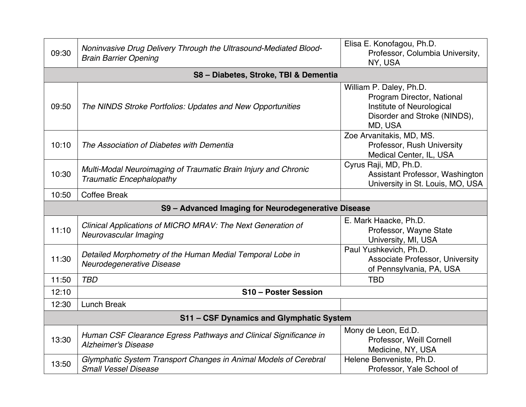| 09:30                                    | Noninvasive Drug Delivery Through the Ultrasound-Mediated Blood-<br><b>Brain Barrier Opening</b>  | Elisa E. Konofagou, Ph.D.<br>Professor, Columbia University,<br>NY, USA                                                       |  |
|------------------------------------------|---------------------------------------------------------------------------------------------------|-------------------------------------------------------------------------------------------------------------------------------|--|
|                                          | S8 - Diabetes, Stroke, TBI & Dementia                                                             |                                                                                                                               |  |
| 09:50                                    | The NINDS Stroke Portfolios: Updates and New Opportunities                                        | William P. Daley, Ph.D.<br>Program Director, National<br>Institute of Neurological<br>Disorder and Stroke (NINDS),<br>MD, USA |  |
| 10:10                                    | The Association of Diabetes with Dementia                                                         | Zoe Arvanitakis, MD, MS.<br>Professor, Rush University<br>Medical Center, IL, USA                                             |  |
| 10:30                                    | Multi-Modal Neuroimaging of Traumatic Brain Injury and Chronic<br><b>Traumatic Encephalopathy</b> | Cyrus Raji, MD, Ph.D.<br>Assistant Professor, Washington<br>University in St. Louis, MO, USA                                  |  |
| 10:50                                    | <b>Coffee Break</b>                                                                               |                                                                                                                               |  |
|                                          | S9 - Advanced Imaging for Neurodegenerative Disease                                               |                                                                                                                               |  |
| 11:10                                    | Clinical Applications of MICRO MRAV: The Next Generation of<br>Neurovascular Imaging              | E. Mark Haacke, Ph.D.<br>Professor, Wayne State<br>University, MI, USA                                                        |  |
| 11:30                                    | Detailed Morphometry of the Human Medial Temporal Lobe in<br>Neurodegenerative Disease            | Paul Yushkevich, Ph.D.<br>Associate Professor, University<br>of Pennsylvania, PA, USA                                         |  |
| 11:50                                    | <b>TBD</b>                                                                                        | <b>TBD</b>                                                                                                                    |  |
| 12:10                                    | S10 - Poster Session                                                                              |                                                                                                                               |  |
| 12:30                                    | <b>Lunch Break</b>                                                                                |                                                                                                                               |  |
| S11 - CSF Dynamics and Glymphatic System |                                                                                                   |                                                                                                                               |  |
| 13:30                                    | Human CSF Clearance Egress Pathways and Clinical Significance in<br><b>Alzheimer's Disease</b>    | Mony de Leon, Ed.D.<br>Professor, Weill Cornell<br>Medicine, NY, USA                                                          |  |
| 13:50                                    | Glymphatic System Transport Changes in Animal Models of Cerebral<br><b>Small Vessel Disease</b>   | Helene Benveniste, Ph.D.<br>Professor, Yale School of                                                                         |  |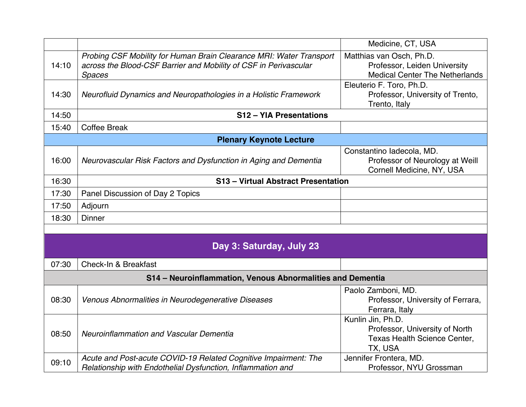|       |                                                                                                                                                          | Medicine, CT, USA                                                                                 |  |  |
|-------|----------------------------------------------------------------------------------------------------------------------------------------------------------|---------------------------------------------------------------------------------------------------|--|--|
| 14:10 | Probing CSF Mobility for Human Brain Clearance MRI: Water Transport<br>across the Blood-CSF Barrier and Mobility of CSF in Perivascular<br><b>Spaces</b> | Matthias van Osch, Ph.D.<br>Professor, Leiden University<br><b>Medical Center The Netherlands</b> |  |  |
| 14:30 | Neurofluid Dynamics and Neuropathologies in a Holistic Framework                                                                                         | Eleuterio F. Toro, Ph.D.<br>Professor, University of Trento,<br>Trento, Italy                     |  |  |
| 14:50 | S12 - YIA Presentations                                                                                                                                  |                                                                                                   |  |  |
| 15:40 | <b>Coffee Break</b>                                                                                                                                      |                                                                                                   |  |  |
|       | <b>Plenary Keynote Lecture</b>                                                                                                                           |                                                                                                   |  |  |
| 16:00 | Neurovascular Risk Factors and Dysfunction in Aging and Dementia                                                                                         | Constantino ladecola, MD.<br>Professor of Neurology at Weill<br>Cornell Medicine, NY, USA         |  |  |
| 16:30 | S13 - Virtual Abstract Presentation                                                                                                                      |                                                                                                   |  |  |
| 17:30 | Panel Discussion of Day 2 Topics                                                                                                                         |                                                                                                   |  |  |
| 17:50 | Adjourn                                                                                                                                                  |                                                                                                   |  |  |
| 18:30 | <b>Dinner</b>                                                                                                                                            |                                                                                                   |  |  |
|       |                                                                                                                                                          |                                                                                                   |  |  |
|       | Day 3: Saturday, July 23                                                                                                                                 |                                                                                                   |  |  |
| 07:30 | <b>Check-In &amp; Breakfast</b>                                                                                                                          |                                                                                                   |  |  |
|       | S14 - Neuroinflammation, Venous Abnormalities and Dementia                                                                                               |                                                                                                   |  |  |
| 08:30 | Venous Abnormalities in Neurodegenerative Diseases                                                                                                       | Paolo Zamboni, MD.<br>Professor, University of Ferrara,<br>Ferrara, Italy                         |  |  |
| 08:50 | <b>Neuroinflammation and Vascular Dementia</b>                                                                                                           | Kunlin Jin, Ph.D.<br>Professor, University of North<br>Texas Health Science Center,<br>TX, USA    |  |  |
| 09:10 | Acute and Post-acute COVID-19 Related Cognitive Impairment: The<br>Relationship with Endothelial Dysfunction, Inflammation and                           | Jennifer Frontera, MD.<br>Professor, NYU Grossman                                                 |  |  |